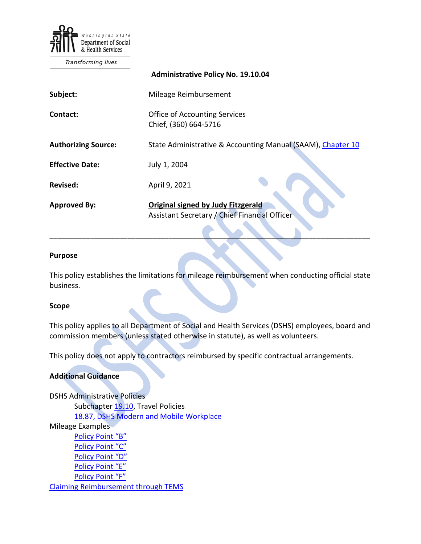

Transforming lives

|                            | <b>Administrative Policy No. 19.10.04</b>                                                  |
|----------------------------|--------------------------------------------------------------------------------------------|
| Subject:                   | Mileage Reimbursement                                                                      |
| Contact:                   | <b>Office of Accounting Services</b><br>Chief, (360) 664-5716                              |
| <b>Authorizing Source:</b> | State Administrative & Accounting Manual (SAAM), Chapter 10                                |
| <b>Effective Date:</b>     | July 1, 2004                                                                               |
| <b>Revised:</b>            | April 9, 2021                                                                              |
| <b>Approved By:</b>        | <b>Original signed by Judy Eitzgerald</b><br>Assistant Secretary / Chief Financial Officer |

#### **Purpose**

This policy establishes the limitations for mileage reimbursement when conducting official state business.

\_\_\_\_\_\_\_\_\_\_\_\_\_\_\_\_\_\_\_\_\_\_\_\_\_\_\_\_\_\_\_\_\_\_\_\_\_\_\_\_\_\_\_\_\_\_\_\_\_\_\_\_\_\_\_\_\_\_\_\_\_\_\_\_\_\_\_\_\_\_\_\_\_\_\_\_\_\_

#### **Scope**

This policy applies to all Department of Social and Health Services (DSHS) employees, board and commission members (unless stated otherwise in statute), as well as volunteers.

This policy does not apply to contractors reimbursed by specific contractual arrangements.

#### **Additional Guidance**

DSHS Administrative Policies Subchapter [19.10,](http://one.dshs.wa.lcl/policies/Pages/default.aspx) Travel Policies [18.87, DSHS Modern and Mobile Workplace](http://one.dshs.wa.lcl/Policies/Administrative/DSHS-AP-18-87.pdf)  Mileage Examples [Policy Point "B"](http://one.dshs.wa.lcl/FS/Fiscal/Accounting/Travel/Documents/EXAMPLES%20-%20Policy%20Point%20B.doc) [Policy Point "C"](http://one.dshs.wa.lcl/FS/Fiscal/Accounting/Travel/Documents/EXAMPLES%20-%20Policy%20Point%20C.doc) [Policy Point "D"](http://one.dshs.wa.lcl/FS/Fiscal/Accounting/Travel/Documents/EXAMPLES%20-%20Policy%20Point%20D.doc) [Policy Point "E"](http://one.dshs.wa.lcl/FS/Fiscal/Accounting/Travel/Documents/EXAMPLES%20-%20Policy%20Point%20E.doc) [Policy Point "F"](http://one.dshs.wa.lcl/FS/Fiscal/Accounting/Travel/Documents/EXAMPLES%20-%20Policy%20Point%20F.doc) [Claiming Reimbursement through TEMS](http://one.dshs.wa.lcl/FS/Fiscal/Accounting/Travel/Documents/Claiming%20Reimbursement%20through%20TEMS.doc)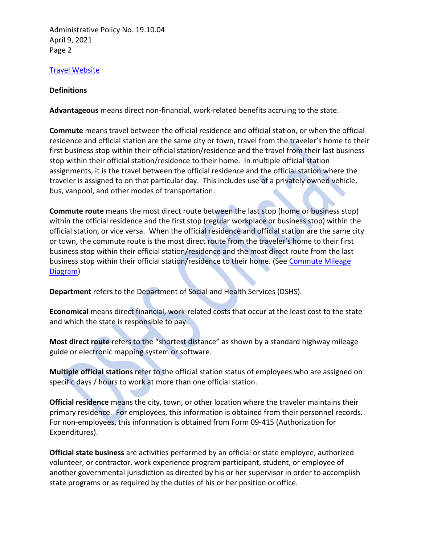Administrative Policy No. 19.10.04 April 9, 2021 Page 2

## [Travel Website](http://one.dshs.wa.lcl/FS/Fiscal/Accounting/Travel/Pages/default.aspx)

### **Definitions**

**Advantageous** means direct non-financial, work-related benefits accruing to the state.

**Commute** means travel between the official residence and official station, or when the official residence and official station are the same city or town, travel from the traveler's home to their first business stop within their official station/residence and the travel from their last business stop within their official station/residence to their home. In multiple official station assignments, it is the travel between the official residence and the official station where the traveler is assigned to on that particular day. This includes use of a privately owned vehicle, bus, vanpool, and other modes of transportation.

**Commute route** means the most direct route between the last stop (home or business stop) within the official residence and the first stop (regular workplace or business stop) within the official station, or vice versa. When the official residence and official station are the same city or town, the commute route is the most direct route from the traveler's home to their first business stop within their official station/residence and the most direct route from the last business stop within their official station/residence to their home. (See [Commute Mileage](http://one.dshs.wa.lcl/FS/Fiscal/Accounting/Travel/Documents/Commute%20Mileage%20Diagram.doc)  [Diagram\)](http://one.dshs.wa.lcl/FS/Fiscal/Accounting/Travel/Documents/Commute%20Mileage%20Diagram.doc)

**Department** refers to the Department of Social and Health Services (DSHS).

**Economical** means direct financial, work-related costs that occur at the least cost to the state and which the state is responsible to pay.

**Most direct route** refers to the "shortest distance" as shown by a standard highway mileage guide or electronic mapping system or software.

**Multiple official stations** refer to the official station status of employees who are assigned on specific days / hours to work at more than one official station.

**Official residence** means the city, town, or other location where the traveler maintains their primary residence. For employees, this information is obtained from their personnel records. For non-employees, this information is obtained from Form 09-415 (Authorization for Expenditures).

**Official state business** are activities performed by an official or state employee, authorized volunteer, or contractor, work experience program participant, student, or employee of another governmental jurisdiction as directed by his or her supervisor in order to accomplish state programs or as required by the duties of his or her position or office.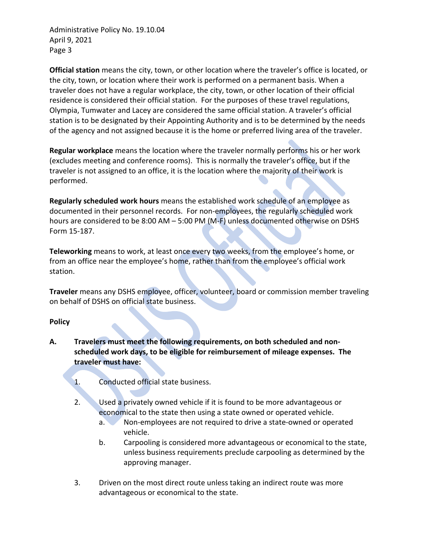Administrative Policy No. 19.10.04 April 9, 2021 Page 3

**Official station** means the city, town, or other location where the traveler's office is located, or the city, town, or location where their work is performed on a permanent basis. When a traveler does not have a regular workplace, the city, town, or other location of their official residence is considered their official station. For the purposes of these travel regulations, Olympia, Tumwater and Lacey are considered the same official station. A traveler's official station is to be designated by their Appointing Authority and is to be determined by the needs of the agency and not assigned because it is the home or preferred living area of the traveler.

**Regular workplace** means the location where the traveler normally performs his or her work (excludes meeting and conference rooms). This is normally the traveler's office, but if the traveler is not assigned to an office, it is the location where the majority of their work is performed.

**Regularly scheduled work hours** means the established work schedule of an employee as documented in their personnel records. For non-employees, the regularly scheduled work hours are considered to be 8:00 AM – 5:00 PM (M-F) unless documented otherwise on DSHS Form 15-187.

**Teleworking** means to work, at least once every two weeks, from the employee's home, or from an office near the employee's home, rather than from the employee's official work station.

**Traveler** means any DSHS employee, officer, volunteer, board or commission member traveling on behalf of DSHS on official state business.

### **Policy**

- **A. Travelers must meet the following requirements, on both scheduled and nonscheduled work days, to be eligible for reimbursement of mileage expenses. The traveler must have:**
	- 1. Conducted official state business.
	- 2. Used a privately owned vehicle if it is found to be more advantageous or economical to the state then using a state owned or operated vehicle.
		- a. Non-employees are not required to drive a state-owned or operated vehicle.
		- b. Carpooling is considered more advantageous or economical to the state, unless business requirements preclude carpooling as determined by the approving manager.
	- 3. Driven on the most direct route unless taking an indirect route was more advantageous or economical to the state.